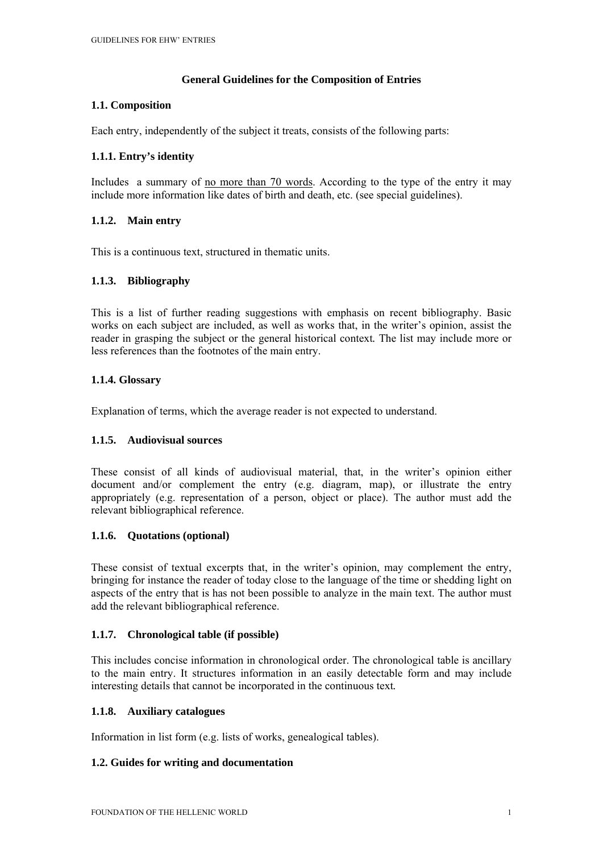### **General Guidelines for the Composition of Entries**

### **1.1. Composition**

Each entry, independently of the subject it treats, consists of the following parts:

# **1.1.1. Entry's identity**

Includes a summary of no more than 70 words. According to the type of the entry it may include more information like dates of birth and death, etc. (see special guidelines).

# **1.1.2. Main entry**

This is a continuous text, structured in thematic units.

# **1.1.3. Bibliography**

This is a list of further reading suggestions with emphasis on recent bibliography. Basic works on each subject are included, as well as works that, in the writer's opinion, assist the reader in grasping the subject or the general historical context*.* The list may include more or less references than the footnotes of the main entry.

# **1.1.4. Glossary**

Explanation of terms, which the average reader is not expected to understand.

### **1.1.5. Audiovisual sources**

These consist of all kinds of audiovisual material, that, in the writer's opinion either document and/or complement the entry (e.g. diagram, map), or illustrate the entry appropriately (e.g. representation of a person, object or place). The author must add the relevant bibliographical reference.

### **1.1.6. Quotations (optional)**

These consist of textual excerpts that, in the writer's opinion, may complement the entry, bringing for instance the reader of today close to the language of the time or shedding light on aspects of the entry that is has not been possible to analyze in the main text. The author must add the relevant bibliographical reference.

### **1.1.7. Chronological table (if possible)**

This includes concise information in chronological order. The chronological table is ancillary to the main entry. It structures information in an easily detectable form and may include interesting details that cannot be incorporated in the continuous text*.*

### **1.1.8. Auxiliary catalogues**

Information in list form (e.g. lists of works, genealogical tables).

### **1.2. Guides for writing and documentation**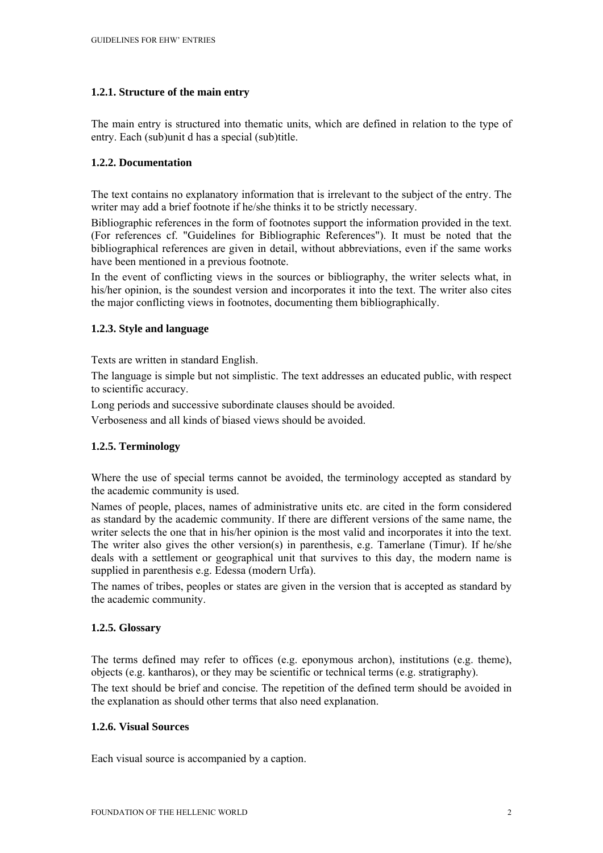# **1.2.1. Structure of the main entry**

The main entry is structured into thematic units, which are defined in relation to the type of entry. Each (sub)unit d has a special (sub)title.

### **1.2.2. Documentation**

The text contains no explanatory information that is irrelevant to the subject of the entry. The writer may add a brief footnote if he/she thinks it to be strictly necessary.

Bibliographic references in the form of footnotes support the information provided in the text. (For references cf. "Guidelines for Bibliographic References"). It must be noted that the bibliographical references are given in detail, without abbreviations, even if the same works have been mentioned in a previous footnote.

In the event of conflicting views in the sources or bibliography, the writer selects what, in his/her opinion, is the soundest version and incorporates it into the text. The writer also cites the major conflicting views in footnotes, documenting them bibliographically.

### **1.2.3. Style and language**

Texts are written in standard English.

The language is simple but not simplistic. The text addresses an educated public, with respect to scientific accuracy.

Long periods and successive subordinate clauses should be avoided.

Verboseness and all kinds of biased views should be avoided.

# **1.2.5. Terminology**

Where the use of special terms cannot be avoided, the terminology accepted as standard by the academic community is used.

Names of people, places, names of administrative units etc. are cited in the form considered as standard by the academic community. If there are different versions of the same name, the writer selects the one that in his/her opinion is the most valid and incorporates it into the text. The writer also gives the other version(s) in parenthesis, e.g. Tamerlane (Timur). If he/she deals with a settlement or geographical unit that survives to this day, the modern name is supplied in parenthesis e.g. Edessa (modern Urfa).

The names of tribes, peoples or states are given in the version that is accepted as standard by the academic community.

### **1.2.5. Glossary**

The terms defined may refer to offices (e.g. eponymous archon), institutions (e.g. theme), objects (e.g. kantharos), or they may be scientific or technical terms (e.g. stratigraphy). The text should be brief and concise. The repetition of the defined term should be avoided in the explanation as should other terms that also need explanation.

# **1.2.6. Visual Sources**

Each visual source is accompanied by a caption.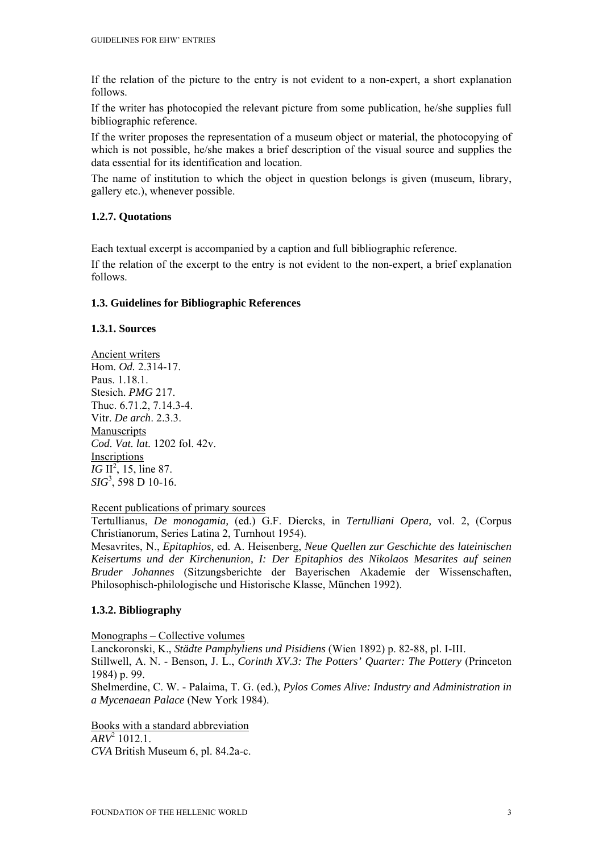If the relation of the picture to the entry is not evident to a non-expert, a short explanation follows.

If the writer has photocopied the relevant picture from some publication, he/she supplies full bibliographic reference.

If the writer proposes the representation of a museum object or material, the photocopying of which is not possible, he/she makes a brief description of the visual source and supplies the data essential for its identification and location.

The name of institution to which the object in question belongs is given (museum, library, gallery etc.), whenever possible.

# **1.2.7. Quotations**

Each textual excerpt is accompanied by a caption and full bibliographic reference.

If the relation of the excerpt to the entry is not evident to the non-expert, a brief explanation follows.

# **1.3. Guidelines for Bibliographic References**

### **1.3.1. Sources**

Ancient writers Hom. *Od.* 2.314-17. Paus. 1.18.1. Stesich. *PMG* 217. Thuc. 6.71.2, 7.14.3-4. Vitr. *De arch*. 2.3.3. Manuscripts *Cod. Vat. lat.* 1202 fol. 42v. Inscriptions *IG*  $II^2$ , 15, line 87. *SIG*<sup>3</sup> , 598 D 10-16.

### Recent publications of primary sources

Tertullianus, *De monogamia,* (ed.) G.F. Diercks, in *Tertulliani Opera,* vol. 2, (Corpus Christianorum, Series Latina 2, Turnhout 1954).

Mesavrites, N., *Epitaphios,* ed. A. Heisenberg, *Neue Quellen zur Geschichte des lateinischen Keisertums und der Kirchenunion, I: Der Epitaphios des Nikolaos Mesarites auf seinen Bruder Johannes* (Sitzungsberichte der Bayerischen Akademie der Wissenschaften, Philosophisch-philologische und Historische Klasse, München 1992).

# **1.3.2. Bibliography**

Monographs – Collective volumes

Lanckoronski, K., *Städte Pamphyliens und Pisidiens* (Wien 1892) p. 82-88, pl. I-III.

Stillwell, A. N. - Benson, J. L., *Corinth XV.3: The Potters' Quarter: The Pottery* (Princeton 1984) p. 99.

Shelmerdine, C. W. - Palaima, T. G. (ed.), *Pylos Comes Alive: Industry and Administration in a Mycenaean Palace* (New York 1984).

Books with a standard abbreviation *ARV*<sup>2</sup> 1012.1. *CVA* British Museum 6, pl. 84.2a-c.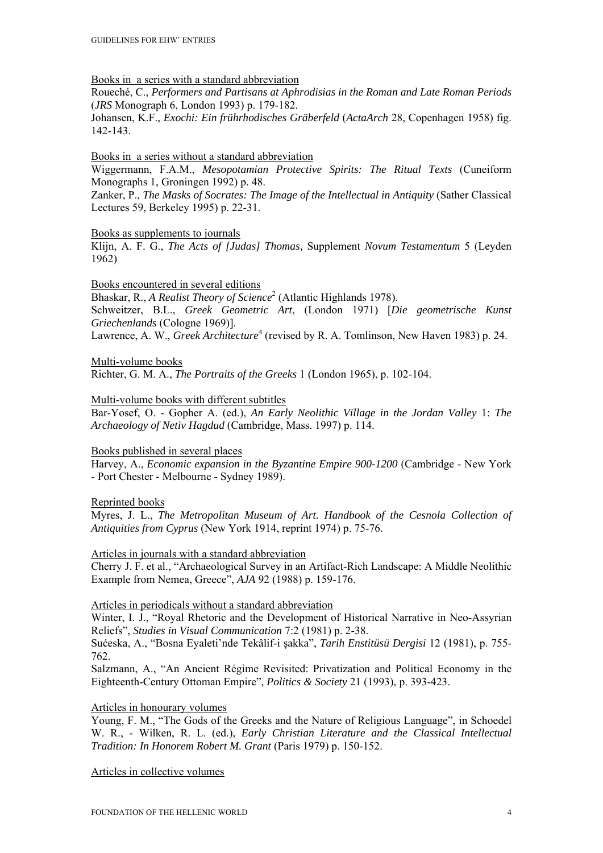Books in a series with a standard abbreviation

Roueché, C., *Performers and Partisans at Aphrodisias in the Roman and Late Roman Periods* (*JRS* Monograph 6, London 1993) p. 179-182.

Johansen, K.F., *Exochi: Ein frührhodisches Gräberfeld* (*ActaArch* 28, Copenhagen 1958) fig. 142-143.

### Books in a series without a standard abbreviation

Wiggermann, F.A.M., *Mesopotamian Protective Spirits: The Ritual Texts* (Cuneiform Monographs 1, Groningen 1992) p. 48.

Zanker, P., *The Masks of Socrates: The Image of the Intellectual in Antiquity* (Sather Classical Lectures 59, Berkeley 1995) p. 22-31.

### Books as supplements to journals

Klijn, A. F. G., *The Acts of [Judas] Thomas,* Supplement *Novum Testamentum* 5 (Leyden 1962)

Books encountered in several editions

Bhaskar, R., *A Realist Theory of Science*<sup>2</sup> (Atlantic Highlands 1978).

Schweitzer, B.L., *Greek Geometric Art*, (London 1971) [*Die geometrische Kunst Griechenlands* (Cologne 1969)].

Lawrence, A. W., *Greek Architecture*<sup>4</sup> (revised by R. A. Tomlinson, New Haven 1983) p. 24.

Multi-volume books

Richter, G. M. A., *The Portraits of the Greeks* 1 (London 1965), p. 102-104.

Multi-volume books with different subtitles

Bar-Yosef, O. - Gopher A. (ed.), *An Early Neolithic Village in the Jordan Valley* 1: *The Archaeology of Netiv Hagdud* (Cambridge, Mass. 1997) p. 114.

### Books published in several places

Harvey, A., *Economic expansion in the Byzantine Empire 900-1200* (Cambridge - New York - Port Chester - Melbourne - Sydney 1989).

Reprinted books

Myres, J. L., *The Metropolitan Museum of Art. Handbook of the Cesnola Collection of Antiquities from Cyprus* (New York 1914, reprint 1974) p. 75-76.

Articles in journals with a standard abbreviation

Cherry J. F. et al., "Archaeological Survey in an Artifact-Rich Landscape: A Middle Neolithic Example from Nemea, Greece", *AJA* 92 (1988) p. 159-176.

### Articles in periodicals without a standard abbreviation

Winter, I. J., "Royal Rhetoric and the Development of Historical Narrative in Neo-Assyrian Reliefs", *Studies in Visual Communication* 7:2 (1981) p. 2-38.

Sućeska, A., "Bosna Eyaleti'nde Tekâlif-i şakka", *Tarih Enstitüsü Dergisi* 12 (1981), p. 755- 762.

Salzmann, A., "An Ancient Régime Revisited: Privatization and Political Economy in the Eighteenth-Century Ottoman Empire", *Politics & Society* 21 (1993), p. 393-423.

#### Articles in honourary volumes

Young, F. M., "The Gods of the Greeks and the Nature of Religious Language", in Schoedel W. R., - Wilken, R. L. (ed.), *Early Christian Literature and the Classical Intellectual Tradition: In Honorem Robert M. Grant* (Paris 1979) p. 150-152.

Articles in collective volumes